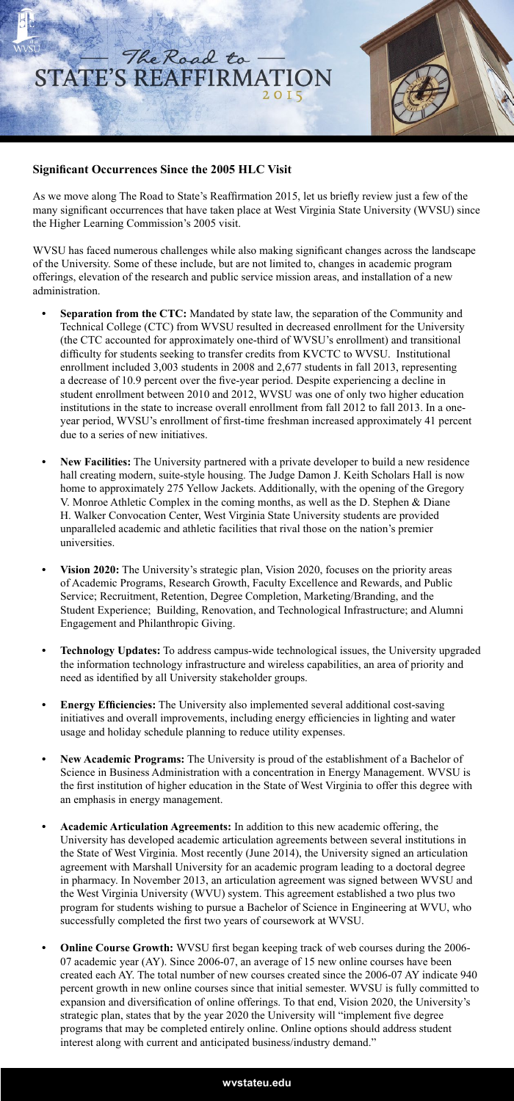## The Road to STATE'S REAFFIRMATION 2015

## **Significant Occurrences Since the 2005 HLC Visit**

As we move along The Road to State's Reaffirmation 2015, let us briefly review just a few of the many significant occurrences that have taken place at West Virginia State University (WVSU) since the Higher Learning Commission's 2005 visit.

WVSU has faced numerous challenges while also making significant changes across the landscape of the University. Some of these include, but are not limited to, changes in academic program offerings, elevation of the research and public service mission areas, and installation of a new administration.

- **• Separation from the CTC:** Mandated by state law, the separation of the Community and Technical College (CTC) from WVSU resulted in decreased enrollment for the University (the CTC accounted for approximately one-third of WVSU's enrollment) and transitional difficulty for students seeking to transfer credits from KVCTC to WVSU. Institutional enrollment included 3,003 students in 2008 and 2,677 students in fall 2013, representing a decrease of 10.9 percent over the five-year period. Despite experiencing a decline in student enrollment between 2010 and 2012, WVSU was one of only two higher education institutions in the state to increase overall enrollment from fall 2012 to fall 2013. In a oneyear period, WVSU's enrollment of first-time freshman increased approximately 41 percent due to a series of new initiatives.
- **• New Facilities:** The University partnered with a private developer to build a new residence hall creating modern, suite-style housing. The Judge Damon J. Keith Scholars Hall is now home to approximately 275 Yellow Jackets. Additionally, with the opening of the Gregory V. Monroe Athletic Complex in the coming months, as well as the D. Stephen & Diane H. Walker Convocation Center, West Virginia State University students are provided unparalleled academic and athletic facilities that rival those on the nation's premier universities.
- **• Vision 2020:** The University's strategic plan, Vision 2020, focuses on the priority areas of Academic Programs, Research Growth, Faculty Excellence and Rewards, and Public Service; Recruitment, Retention, Degree Completion, Marketing/Branding, and the Student Experience; Building, Renovation, and Technological Infrastructure; and Alumni Engagement and Philanthropic Giving.
- **• Technology Updates:** To address campus-wide technological issues, the University upgraded the information technology infrastructure and wireless capabilities, an area of priority and need as identified by all University stakeholder groups.
- **• Energy Efficiencies:** The University also implemented several additional cost-saving initiatives and overall improvements, including energy efficiencies in lighting and water usage and holiday schedule planning to reduce utility expenses.
- **• New Academic Programs:** The University is proud of the establishment of a Bachelor of Science in Business Administration with a concentration in Energy Management. WVSU is the first institution of higher education in the State of West Virginia to offer this degree with an emphasis in energy management.
- **• Academic Articulation Agreements:** In addition to this new academic offering, the University has developed academic articulation agreements between several institutions in the State of West Virginia. Most recently (June 2014), the University signed an articulation agreement with Marshall University for an academic program leading to a doctoral degree in pharmacy. In November 2013, an articulation agreement was signed between WVSU and the West Virginia University (WVU) system. This agreement established a two plus two program for students wishing to pursue a Bachelor of Science in Engineering at WVU, who successfully completed the first two years of coursework at WVSU.
- **• Online Course Growth:** WVSU first began keeping track of web courses during the 2006- 07 academic year (AY). Since 2006-07, an average of 15 new online courses have been created each AY. The total number of new courses created since the 2006-07 AY indicate 940 percent growth in new online courses since that initial semester. WVSU is fully committed to expansion and diversification of online offerings. To that end, Vision 2020, the University's strategic plan, states that by the year 2020 the University will "implement five degree programs that may be completed entirely online. Online options should address student interest along with current and anticipated business/industry demand."